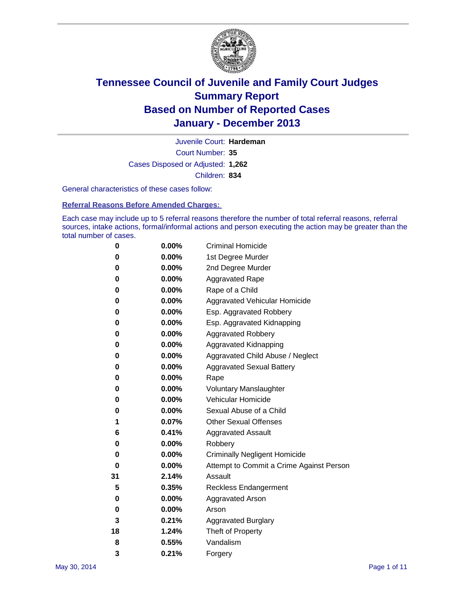

Court Number: **35** Juvenile Court: **Hardeman** Cases Disposed or Adjusted: **1,262** Children: **834**

General characteristics of these cases follow:

**Referral Reasons Before Amended Charges:** 

Each case may include up to 5 referral reasons therefore the number of total referral reasons, referral sources, intake actions, formal/informal actions and person executing the action may be greater than the total number of cases.

| 0  | $0.00\%$ | <b>Criminal Homicide</b>                 |
|----|----------|------------------------------------------|
| 0  | 0.00%    | 1st Degree Murder                        |
| 0  | 0.00%    | 2nd Degree Murder                        |
| 0  | $0.00\%$ | <b>Aggravated Rape</b>                   |
| 0  | 0.00%    | Rape of a Child                          |
| 0  | $0.00\%$ | <b>Aggravated Vehicular Homicide</b>     |
| 0  | 0.00%    | Esp. Aggravated Robbery                  |
| 0  | 0.00%    | Esp. Aggravated Kidnapping               |
| 0  | $0.00\%$ | <b>Aggravated Robbery</b>                |
| 0  | 0.00%    | Aggravated Kidnapping                    |
| 0  | 0.00%    | Aggravated Child Abuse / Neglect         |
| 0  | 0.00%    | <b>Aggravated Sexual Battery</b>         |
| 0  | 0.00%    | Rape                                     |
| 0  | 0.00%    | <b>Voluntary Manslaughter</b>            |
| 0  | 0.00%    | Vehicular Homicide                       |
| 0  | 0.00%    | Sexual Abuse of a Child                  |
| 1  | 0.07%    | <b>Other Sexual Offenses</b>             |
| 6  | 0.41%    | <b>Aggravated Assault</b>                |
| 0  | 0.00%    | Robbery                                  |
| 0  | 0.00%    | <b>Criminally Negligent Homicide</b>     |
| 0  | 0.00%    | Attempt to Commit a Crime Against Person |
| 31 | 2.14%    | Assault                                  |
| 5  | 0.35%    | <b>Reckless Endangerment</b>             |
| 0  | 0.00%    | <b>Aggravated Arson</b>                  |
| 0  | 0.00%    | Arson                                    |
| 3  | 0.21%    | <b>Aggravated Burglary</b>               |
| 18 | 1.24%    | Theft of Property                        |
| 8  | 0.55%    | Vandalism                                |
| 3  | 0.21%    | Forgery                                  |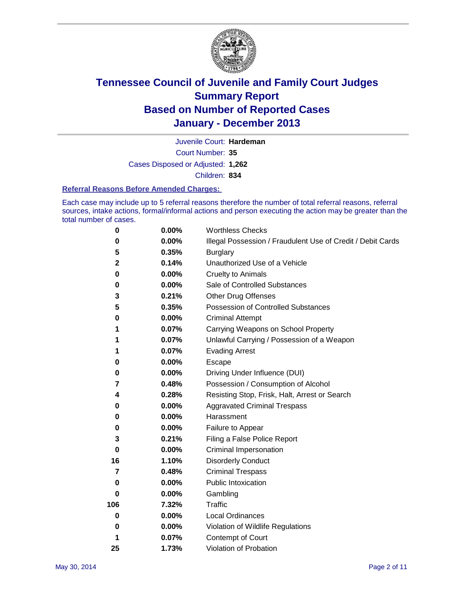

Court Number: **35** Juvenile Court: **Hardeman** Cases Disposed or Adjusted: **1,262** Children: **834**

### **Referral Reasons Before Amended Charges:**

Each case may include up to 5 referral reasons therefore the number of total referral reasons, referral sources, intake actions, formal/informal actions and person executing the action may be greater than the total number of cases.

| 0           | 0.00%    | <b>Worthless Checks</b>                                     |
|-------------|----------|-------------------------------------------------------------|
| 0           | 0.00%    | Illegal Possession / Fraudulent Use of Credit / Debit Cards |
| 5           | 0.35%    | <b>Burglary</b>                                             |
| $\mathbf 2$ | 0.14%    | Unauthorized Use of a Vehicle                               |
| $\bf{0}$    | 0.00%    | <b>Cruelty to Animals</b>                                   |
| 0           | 0.00%    | Sale of Controlled Substances                               |
| 3           | 0.21%    | <b>Other Drug Offenses</b>                                  |
| 5           | 0.35%    | <b>Possession of Controlled Substances</b>                  |
| 0           | 0.00%    | <b>Criminal Attempt</b>                                     |
| 1           | 0.07%    | Carrying Weapons on School Property                         |
| 1           | 0.07%    | Unlawful Carrying / Possession of a Weapon                  |
| 1           | 0.07%    | <b>Evading Arrest</b>                                       |
| 0           | 0.00%    | Escape                                                      |
| 0           | 0.00%    | Driving Under Influence (DUI)                               |
| 7           | 0.48%    | Possession / Consumption of Alcohol                         |
| 4           | 0.28%    | Resisting Stop, Frisk, Halt, Arrest or Search               |
| 0           | 0.00%    | <b>Aggravated Criminal Trespass</b>                         |
| 0           | $0.00\%$ | Harassment                                                  |
| 0           | $0.00\%$ | Failure to Appear                                           |
| 3           | 0.21%    | Filing a False Police Report                                |
| $\bf{0}$    | $0.00\%$ | Criminal Impersonation                                      |
| 16          | 1.10%    | <b>Disorderly Conduct</b>                                   |
| 7           | 0.48%    | <b>Criminal Trespass</b>                                    |
| 0           | $0.00\%$ | <b>Public Intoxication</b>                                  |
| 0           | $0.00\%$ | Gambling                                                    |
| 106         | 7.32%    | Traffic                                                     |
| 0           | $0.00\%$ | <b>Local Ordinances</b>                                     |
| 0           | 0.00%    | Violation of Wildlife Regulations                           |
| 1           | 0.07%    | Contempt of Court                                           |
| 25          | 1.73%    | Violation of Probation                                      |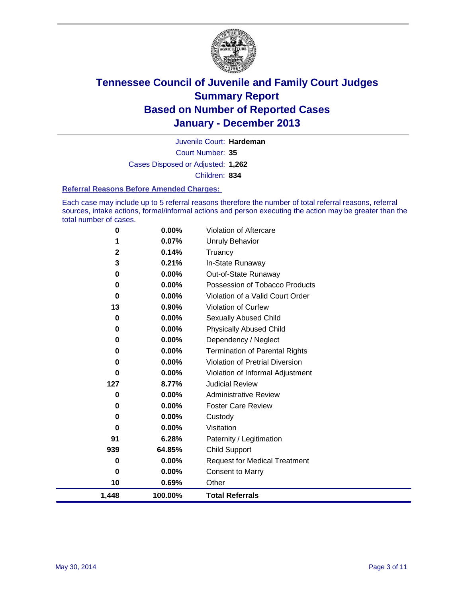

Court Number: **35** Juvenile Court: **Hardeman** Cases Disposed or Adjusted: **1,262** Children: **834**

### **Referral Reasons Before Amended Charges:**

Each case may include up to 5 referral reasons therefore the number of total referral reasons, referral sources, intake actions, formal/informal actions and person executing the action may be greater than the total number of cases.

| 1,448               | 100.00%        | <b>Total Referrals</b>                |
|---------------------|----------------|---------------------------------------|
| 10                  | 0.69%          | Other                                 |
| 0                   | 0.00%          | <b>Consent to Marry</b>               |
| 0                   | 0.00%          | <b>Request for Medical Treatment</b>  |
| 939                 | 64.85%         | <b>Child Support</b>                  |
| 91                  | 6.28%          | Paternity / Legitimation              |
| 0                   | 0.00%          | Visitation                            |
| 0                   | 0.00%          | Custody                               |
| 0                   | 0.00%          | <b>Foster Care Review</b>             |
| 0                   | 0.00%          | <b>Administrative Review</b>          |
| 127                 | 8.77%          | <b>Judicial Review</b>                |
| 0                   | 0.00%          | Violation of Informal Adjustment      |
| 0                   | 0.00%          | Violation of Pretrial Diversion       |
| 0                   | 0.00%          | <b>Termination of Parental Rights</b> |
| 0                   | 0.00%          | Dependency / Neglect                  |
| 0                   | 0.00%          | <b>Physically Abused Child</b>        |
| 0                   | $0.00\%$       | <b>Sexually Abused Child</b>          |
| 13                  | 0.90%          | Violation of Curfew                   |
| 0                   | 0.00%          | Violation of a Valid Court Order      |
| 0                   | 0.00%          | Possession of Tobacco Products        |
| 0                   | $0.00\%$       | Out-of-State Runaway                  |
| 3                   | 0.21%          | Truancy<br>In-State Runaway           |
| 1<br>$\overline{2}$ | 0.07%<br>0.14% | <b>Unruly Behavior</b>                |
| 0                   | 0.00%          | Violation of Aftercare                |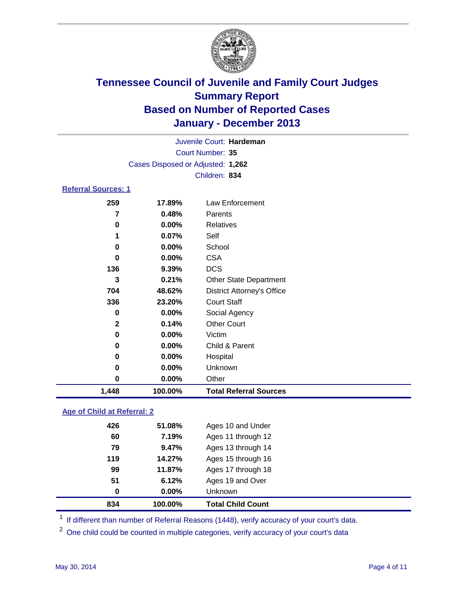

Court Number: **35** Juvenile Court: **Hardeman** Cases Disposed or Adjusted: **1,262** Children: **834**

### **Referral Sources: 1**

| 704<br>336<br>0<br>$\mathbf{2}$<br>0<br>0<br>0<br>0<br>0 | 48.62%<br>23.20%<br>0.00%<br>0.14%<br>0.00%<br>0.00%<br>0.00%<br>0.00%<br>$0.00\%$ | <b>District Attorney's Office</b><br><b>Court Staff</b><br>Social Agency<br><b>Other Court</b><br>Victim<br>Child & Parent<br>Hospital<br>Unknown<br>Other |
|----------------------------------------------------------|------------------------------------------------------------------------------------|------------------------------------------------------------------------------------------------------------------------------------------------------------|
|                                                          |                                                                                    |                                                                                                                                                            |
|                                                          |                                                                                    |                                                                                                                                                            |
|                                                          |                                                                                    |                                                                                                                                                            |
|                                                          |                                                                                    |                                                                                                                                                            |
|                                                          |                                                                                    |                                                                                                                                                            |
|                                                          |                                                                                    |                                                                                                                                                            |
|                                                          |                                                                                    |                                                                                                                                                            |
|                                                          |                                                                                    |                                                                                                                                                            |
|                                                          |                                                                                    |                                                                                                                                                            |
| 3                                                        | 0.21%                                                                              | <b>Other State Department</b>                                                                                                                              |
| 136                                                      | 9.39%                                                                              | <b>DCS</b>                                                                                                                                                 |
| 0                                                        | 0.00%                                                                              | <b>CSA</b>                                                                                                                                                 |
| 0                                                        | 0.00%                                                                              | School                                                                                                                                                     |
|                                                          | 0.07%                                                                              | Self                                                                                                                                                       |
| 0                                                        | 0.00%                                                                              | Relatives                                                                                                                                                  |
| 7                                                        | 0.48%                                                                              | Parents                                                                                                                                                    |
|                                                          | 17.89%                                                                             | Law Enforcement                                                                                                                                            |
|                                                          | 259                                                                                |                                                                                                                                                            |

### **Age of Child at Referral: 2**

|     |        | <b>Total Child Count</b> |
|-----|--------|--------------------------|
| 0   | 0.00%  | Unknown                  |
| 51  | 6.12%  | Ages 19 and Over         |
| 99  | 11.87% | Ages 17 through 18       |
| 119 | 14.27% | Ages 15 through 16       |
| 79  | 9.47%  | Ages 13 through 14       |
| 60  | 7.19%  | Ages 11 through 12       |
| 426 | 51.08% | Ages 10 and Under        |
|     |        | 100.00%<br>834           |

<sup>1</sup> If different than number of Referral Reasons (1448), verify accuracy of your court's data.

<sup>2</sup> One child could be counted in multiple categories, verify accuracy of your court's data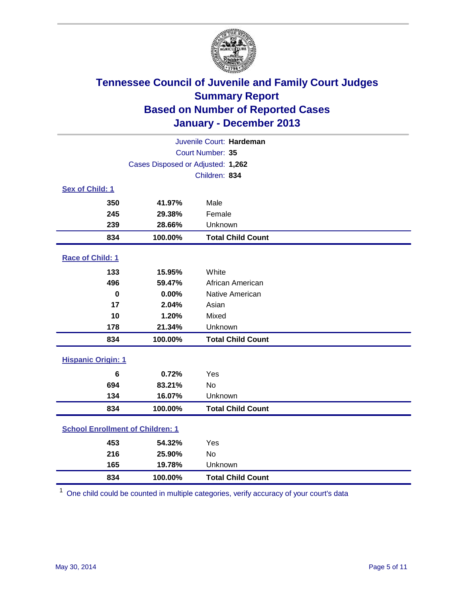

| Juvenile Court: Hardeman                |               |                          |  |  |
|-----------------------------------------|---------------|--------------------------|--|--|
| Court Number: 35                        |               |                          |  |  |
| Cases Disposed or Adjusted: 1,262       |               |                          |  |  |
|                                         | Children: 834 |                          |  |  |
| Sex of Child: 1                         |               |                          |  |  |
| 350                                     | 41.97%        | Male                     |  |  |
| 245                                     | 29.38%        | Female                   |  |  |
| 239                                     | 28.66%        | Unknown                  |  |  |
| 834                                     | 100.00%       | <b>Total Child Count</b> |  |  |
| Race of Child: 1                        |               |                          |  |  |
| 133                                     | 15.95%        | White                    |  |  |
| 496                                     | 59.47%        | African American         |  |  |
| $\mathbf 0$                             | 0.00%         | Native American          |  |  |
| 17                                      | 2.04%         | Asian                    |  |  |
| 10                                      | 1.20%         | Mixed                    |  |  |
| 178                                     | 21.34%        | Unknown                  |  |  |
| 834                                     | 100.00%       | <b>Total Child Count</b> |  |  |
| <b>Hispanic Origin: 1</b>               |               |                          |  |  |
| 6                                       | 0.72%         | Yes                      |  |  |
| 694                                     | 83.21%        | <b>No</b>                |  |  |
| 134                                     | 16.07%        | Unknown                  |  |  |
| 834                                     | 100.00%       | <b>Total Child Count</b> |  |  |
| <b>School Enrollment of Children: 1</b> |               |                          |  |  |
| 453                                     | 54.32%        | Yes                      |  |  |
| 216                                     | 25.90%        | <b>No</b>                |  |  |
| 165                                     | 19.78%        | Unknown                  |  |  |
| 834                                     | 100.00%       | <b>Total Child Count</b> |  |  |

One child could be counted in multiple categories, verify accuracy of your court's data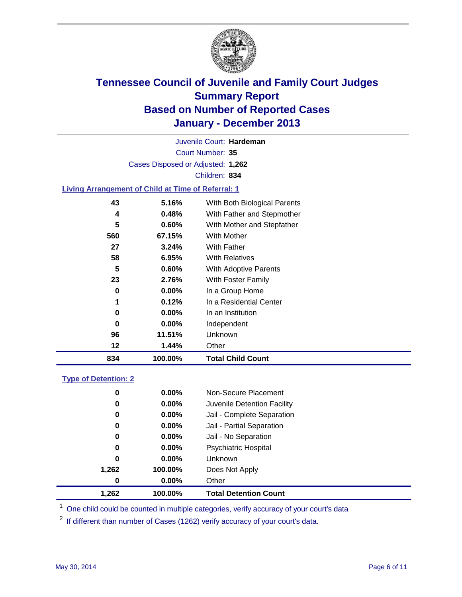

Court Number: **35** Juvenile Court: **Hardeman** Cases Disposed or Adjusted: **1,262** Children: **834**

### **Living Arrangement of Child at Time of Referral: 1**

| 834 | 100.00%  | <b>Total Child Count</b>     |
|-----|----------|------------------------------|
| 12  | 1.44%    | Other                        |
| 96  | 11.51%   | <b>Unknown</b>               |
| 0   | $0.00\%$ | Independent                  |
| 0   | $0.00\%$ | In an Institution            |
| 1   | 0.12%    | In a Residential Center      |
| 0   | $0.00\%$ | In a Group Home              |
| 23  | 2.76%    | With Foster Family           |
| 5   | 0.60%    | With Adoptive Parents        |
| 58  | 6.95%    | <b>With Relatives</b>        |
| 27  | 3.24%    | With Father                  |
| 560 | 67.15%   | With Mother                  |
| 5   | 0.60%    | With Mother and Stepfather   |
| 4   | 0.48%    | With Father and Stepmother   |
| 43  | 5.16%    | With Both Biological Parents |
|     |          |                              |

### **Type of Detention: 2**

| 1,262 | 100.00%  | <b>Total Detention Count</b> |  |
|-------|----------|------------------------------|--|
| 0     | $0.00\%$ | Other                        |  |
| 1,262 | 100.00%  | Does Not Apply               |  |
| 0     | $0.00\%$ | <b>Unknown</b>               |  |
| 0     | $0.00\%$ | <b>Psychiatric Hospital</b>  |  |
| 0     | 0.00%    | Jail - No Separation         |  |
| 0     | $0.00\%$ | Jail - Partial Separation    |  |
| 0     | 0.00%    | Jail - Complete Separation   |  |
| 0     | 0.00%    | Juvenile Detention Facility  |  |
| 0     | 0.00%    | Non-Secure Placement         |  |
|       |          |                              |  |

<sup>1</sup> One child could be counted in multiple categories, verify accuracy of your court's data

<sup>2</sup> If different than number of Cases (1262) verify accuracy of your court's data.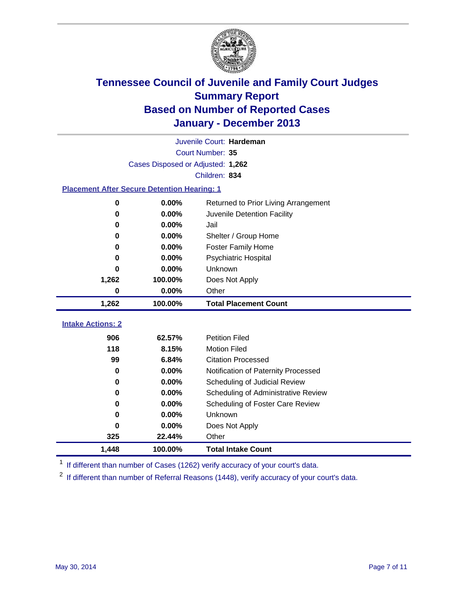

|                                                    |                                   | Juvenile Court: Hardeman             |
|----------------------------------------------------|-----------------------------------|--------------------------------------|
|                                                    |                                   | Court Number: 35                     |
|                                                    | Cases Disposed or Adjusted: 1,262 |                                      |
|                                                    |                                   | Children: 834                        |
| <b>Placement After Secure Detention Hearing: 1</b> |                                   |                                      |
| 0                                                  | 0.00%                             | Returned to Prior Living Arrangement |
| 0                                                  | 0.00%                             | Juvenile Detention Facility          |
| 0.00%<br>0                                         |                                   | Jail                                 |
| 0                                                  | 0.00%                             | Shelter / Group Home                 |
| 0                                                  | 0.00%                             | <b>Foster Family Home</b>            |
| 0                                                  | 0.00%                             | <b>Psychiatric Hospital</b>          |
| 0                                                  | 0.00%                             | Unknown                              |
| 1,262                                              | 100.00%                           | Does Not Apply                       |
| 0                                                  | 0.00%                             | Other                                |
| 1,262                                              | 100.00%                           | <b>Total Placement Count</b>         |
|                                                    |                                   |                                      |
| <b>Intake Actions: 2</b>                           |                                   |                                      |
| 906                                                | 62.57%                            | <b>Petition Filed</b>                |
| 118                                                | 8.15%                             | <b>Motion Filed</b>                  |
| 99                                                 | 6.84%                             | <b>Citation Processed</b>            |
| 0                                                  | 0.00%                             | Notification of Paternity Processed  |
| 0.00%<br>0                                         |                                   | Scheduling of Judicial Review        |
| 0                                                  | 0.00%                             | Scheduling of Administrative Review  |
| 0                                                  | 0.00%                             | Scheduling of Foster Care Review     |
| 0                                                  | 0.00%                             | Unknown                              |
| 0                                                  | 0.00%                             | Does Not Apply                       |
| 325                                                | 22.44%                            | Other                                |
| 1,448                                              | 100.00%                           | <b>Total Intake Count</b>            |

<sup>1</sup> If different than number of Cases (1262) verify accuracy of your court's data.

 $2$  If different than number of Referral Reasons (1448), verify accuracy of your court's data.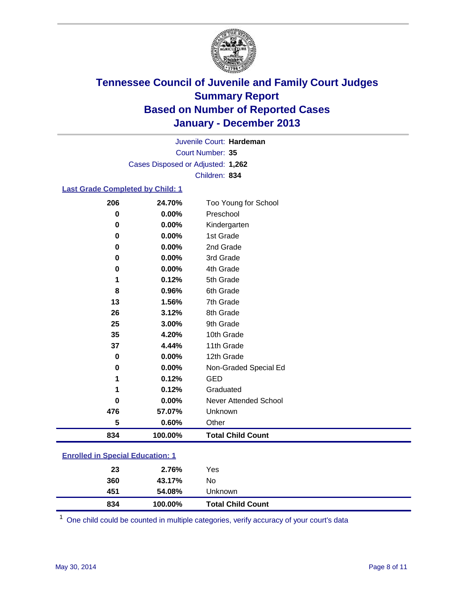

Court Number: **35** Juvenile Court: **Hardeman** Cases Disposed or Adjusted: **1,262** Children: **834**

### **Last Grade Completed by Child: 1**

| 206      | 24.70%  | Too Young for School         |
|----------|---------|------------------------------|
| 0        | 0.00%   | Preschool                    |
| 0        | 0.00%   | Kindergarten                 |
| 0        | 0.00%   | 1st Grade                    |
| 0        | 0.00%   | 2nd Grade                    |
| 0        | 0.00%   | 3rd Grade                    |
| 0        | 0.00%   | 4th Grade                    |
| 1        | 0.12%   | 5th Grade                    |
| 8        | 0.96%   | 6th Grade                    |
| 13       | 1.56%   | 7th Grade                    |
| 26       | 3.12%   | 8th Grade                    |
| 25       | 3.00%   | 9th Grade                    |
| 35       | 4.20%   | 10th Grade                   |
| 37       | 4.44%   | 11th Grade                   |
| $\bf{0}$ | 0.00%   | 12th Grade                   |
| 0        | 0.00%   | Non-Graded Special Ed        |
| 1        | 0.12%   | <b>GED</b>                   |
|          | 0.12%   | Graduated                    |
| $\bf{0}$ | 0.00%   | <b>Never Attended School</b> |
| 476      | 57.07%  | Unknown                      |
| 5        | 0.60%   | Other                        |
| 834      | 100.00% | <b>Total Child Count</b>     |

| <b>Enrolled in Special Education: 1</b> |
|-----------------------------------------|
|                                         |

One child could be counted in multiple categories, verify accuracy of your court's data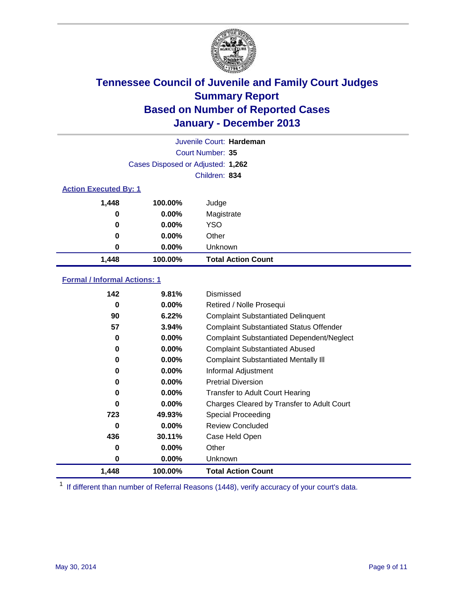

|          |                                   | Juvenile Court: Hardeman  |  |  |
|----------|-----------------------------------|---------------------------|--|--|
|          |                                   | Court Number: 35          |  |  |
|          | Cases Disposed or Adjusted: 1,262 |                           |  |  |
|          |                                   | Children: 834             |  |  |
|          | <b>Action Executed By: 1</b>      |                           |  |  |
| 1,448    | 100.00%                           | Judge                     |  |  |
| 0        | $0.00\%$                          | Magistrate                |  |  |
| $\bf{0}$ | $0.00\%$                          | <b>YSO</b>                |  |  |
| 0        | $0.00\%$                          | Other                     |  |  |
| 0        | $0.00\%$                          | Unknown                   |  |  |
| 1,448    | 100.00%                           | <b>Total Action Count</b> |  |  |

### **Formal / Informal Actions: 1**

| 142      | 9.81%    | Dismissed                                        |
|----------|----------|--------------------------------------------------|
| 0        | $0.00\%$ | Retired / Nolle Prosequi                         |
| 90       | 6.22%    | <b>Complaint Substantiated Delinquent</b>        |
| 57       | 3.94%    | <b>Complaint Substantiated Status Offender</b>   |
| 0        | 0.00%    | <b>Complaint Substantiated Dependent/Neglect</b> |
| 0        | $0.00\%$ | <b>Complaint Substantiated Abused</b>            |
| 0        | $0.00\%$ | <b>Complaint Substantiated Mentally III</b>      |
| 0        | $0.00\%$ | Informal Adjustment                              |
| 0        | $0.00\%$ | <b>Pretrial Diversion</b>                        |
| 0        | $0.00\%$ | <b>Transfer to Adult Court Hearing</b>           |
| 0        | $0.00\%$ | Charges Cleared by Transfer to Adult Court       |
| 723      | 49.93%   | Special Proceeding                               |
| $\bf{0}$ | $0.00\%$ | <b>Review Concluded</b>                          |
| 436      | 30.11%   | Case Held Open                                   |
| 0        | $0.00\%$ | Other                                            |
| 0        | $0.00\%$ | Unknown                                          |
| 1,448    | 100.00%  | <b>Total Action Count</b>                        |

<sup>1</sup> If different than number of Referral Reasons (1448), verify accuracy of your court's data.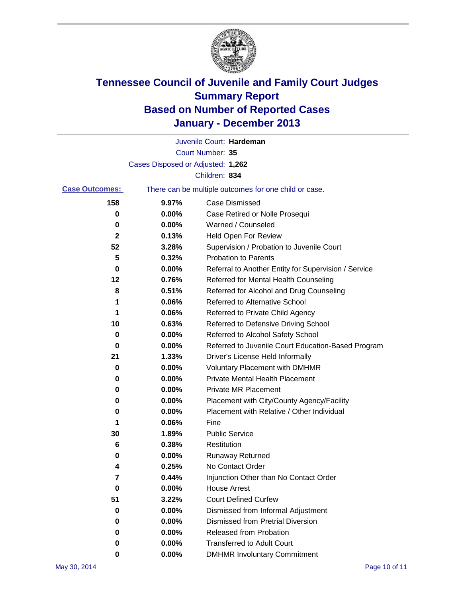

|                       |                                   | Juvenile Court: Hardeman                              |
|-----------------------|-----------------------------------|-------------------------------------------------------|
|                       |                                   | Court Number: 35                                      |
|                       | Cases Disposed or Adjusted: 1,262 |                                                       |
|                       |                                   | Children: 834                                         |
| <b>Case Outcomes:</b> |                                   | There can be multiple outcomes for one child or case. |
| 158                   | 9.97%                             | Case Dismissed                                        |
| 0                     | $0.00\%$                          | Case Retired or Nolle Prosequi                        |
| 0                     | 0.00%                             | Warned / Counseled                                    |
| 2                     | 0.13%                             | <b>Held Open For Review</b>                           |
| 52                    | 3.28%                             | Supervision / Probation to Juvenile Court             |
| 5                     | 0.32%                             | <b>Probation to Parents</b>                           |
| 0                     | 0.00%                             | Referral to Another Entity for Supervision / Service  |
| 12                    | 0.76%                             | Referred for Mental Health Counseling                 |
| 8                     | 0.51%                             | Referred for Alcohol and Drug Counseling              |
| 1                     | 0.06%                             | <b>Referred to Alternative School</b>                 |
| 1                     | 0.06%                             | Referred to Private Child Agency                      |
| 10                    | 0.63%                             | Referred to Defensive Driving School                  |
| 0                     | 0.00%                             | Referred to Alcohol Safety School                     |
| 0                     | 0.00%                             | Referred to Juvenile Court Education-Based Program    |
| 21                    | 1.33%                             | Driver's License Held Informally                      |
| 0                     | 0.00%                             | <b>Voluntary Placement with DMHMR</b>                 |
| 0                     | 0.00%                             | <b>Private Mental Health Placement</b>                |
| 0                     | 0.00%                             | <b>Private MR Placement</b>                           |
| 0                     | 0.00%                             | Placement with City/County Agency/Facility            |
| 0                     | 0.00%                             | Placement with Relative / Other Individual            |
| 1                     | 0.06%                             | Fine                                                  |
| 30                    | 1.89%                             | <b>Public Service</b>                                 |
| 6                     | 0.38%                             | Restitution                                           |
| 0                     | 0.00%                             | <b>Runaway Returned</b>                               |
| 4                     | 0.25%                             | No Contact Order                                      |
| $\epsilon$            | 0.44%                             | Injunction Other than No Contact Order                |
| 0                     | 0.00%                             | <b>House Arrest</b>                                   |
| 51                    | 3.22%                             | <b>Court Defined Curfew</b>                           |
| 0                     | 0.00%                             | Dismissed from Informal Adjustment                    |
| 0                     | 0.00%                             | <b>Dismissed from Pretrial Diversion</b>              |
| 0                     | 0.00%                             | Released from Probation                               |
| 0                     | 0.00%                             | <b>Transferred to Adult Court</b>                     |
| 0                     | $0.00\%$                          | <b>DMHMR Involuntary Commitment</b>                   |